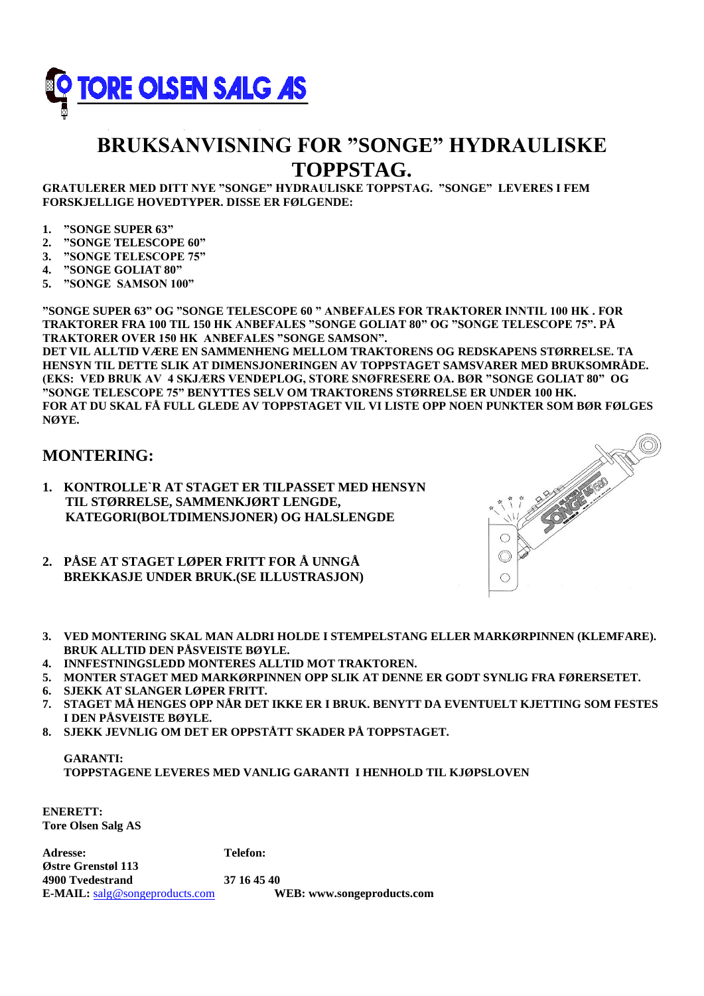

## **BRUKSANVISNING FOR "SONGE" HYDRAULISKE TOPPSTAG.**

**GRATULERER MED DITT NYE "SONGE" HYDRAULISKE TOPPSTAG. "SONGE" LEVERES I FEM FORSKJELLIGE HOVEDTYPER. DISSE ER FØLGENDE:**

- **1. "SONGE SUPER 63"**
- **2. "SONGE TELESCOPE 60"**
- **3. "SONGE TELESCOPE 75"**
- **4. "SONGE GOLIAT 80"**
- **5. "SONGE SAMSON 100"**

**"SONGE SUPER 63" OG "SONGE TELESCOPE 60 " ANBEFALES FOR TRAKTORER INNTIL 100 HK . FOR TRAKTORER FRA 100 TIL 150 HK ANBEFALES "SONGE GOLIAT 80" OG "SONGE TELESCOPE 75". PÅ TRAKTORER OVER 150 HK ANBEFALES "SONGE SAMSON".**

**DET VIL ALLTID VÆRE EN SAMMENHENG MELLOM TRAKTORENS OG REDSKAPENS STØRRELSE. TA HENSYN TIL DETTE SLIK AT DIMENSJONERINGEN AV TOPPSTAGET SAMSVARER MED BRUKSOMRÅDE. (EKS: VED BRUK AV 4 SKJÆRS VENDEPLOG, STORE SNØFRESERE OA. BØR "SONGE GOLIAT 80" OG "SONGE TELESCOPE 75" BENYTTES SELV OM TRAKTORENS STØRRELSE ER UNDER 100 HK. FOR AT DU SKAL FÅ FULL GLEDE AV TOPPSTAGET VIL VI LISTE OPP NOEN PUNKTER SOM BØR FØLGES NØYE.**

## **MONTERING:**

**1. KONTROLLE`R AT STAGET ER TILPASSET MED HENSYN TIL STØRRELSE, SAMMENKJØRT LENGDE, KATEGORI(BOLTDIMENSJONER) OG HALSLENGDE** 



- **2. PÅSE AT STAGET LØPER FRITT FOR Å UNNGÅ BREKKASJE UNDER BRUK.(SE ILLUSTRASJON)**
- **3. VED MONTERING SKAL MAN ALDRI HOLDE I STEMPELSTANG ELLER MARKØRPINNEN (KLEMFARE). BRUK ALLTID DEN PÅSVEISTE BØYLE.**
- **4. INNFESTNINGSLEDD MONTERES ALLTID MOT TRAKTOREN.**
- **5. MONTER STAGET MED MARKØRPINNEN OPP SLIK AT DENNE ER GODT SYNLIG FRA FØRERSETET.**
- **6. SJEKK AT SLANGER LØPER FRITT.**
- **7. STAGET MÅ HENGES OPP NÅR DET IKKE ER I BRUK. BENYTT DA EVENTUELT KJETTING SOM FESTES I DEN PÅSVEISTE BØYLE.**
- **8. SJEKK JEVNLIG OM DET ER OPPSTÅTT SKADER PÅ TOPPSTAGET.**

## **GARANTI: TOPPSTAGENE LEVERES MED VANLIG GARANTI I HENHOLD TIL KJØPSLOVEN**

**ENERETT: Tore Olsen Salg AS**

**Adresse: Telefon: Østre Grenstøl 113 4900 Tvedestrand 37 16 45 40 E-MAIL:** [salg@songeproducts.com](mailto:salg@songeproducts.com) **WEB: www.songeproducts.com**